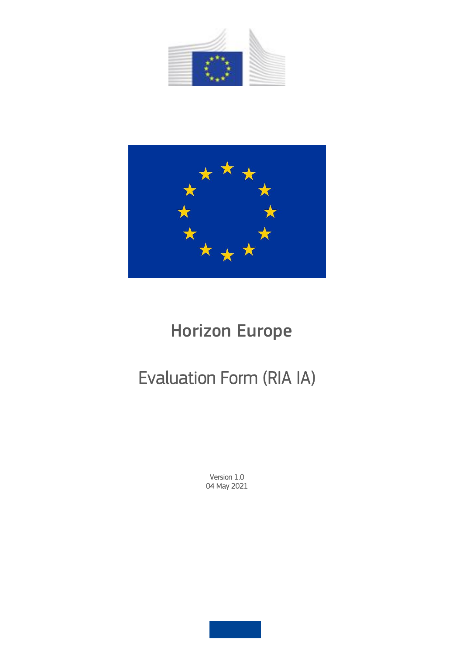



# Horizon Europe

# Evaluation Form (RIA IA)

Version 1.0 04 May 2021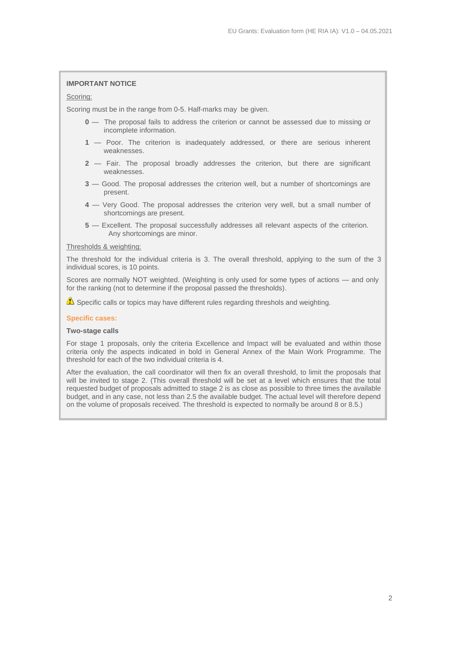## **IMPORTANT NOTICE**

## Scoring:

Scoring must be in the range from 0-5. Half-marks may be given.

- **0** The proposal fails to address the criterion or cannot be assessed due to missing or incomplete information.
- **1** Poor. The criterion is inadequately addressed, or there are serious inherent weaknesses.
- **2**  Fair. The proposal broadly addresses the criterion, but there are significant weaknesses.
- **3** Good. The proposal addresses the criterion well, but a number of shortcomings are present.
- **4** Very Good. The proposal addresses the criterion very well, but a small number of shortcomings are present.
- **5** Excellent. The proposal successfully addresses all relevant aspects of the criterion. Any shortcomings are minor.

### Thresholds & weighting:

The threshold for the individual criteria is 3. The overall threshold, applying to the sum of the 3 individual scores, is 10 points.

Scores are normally NOT weighted. (Weighting is only used for some types of actions — and only for the ranking (not to determine if the proposal passed the thresholds).

 $\triangle$  Specific calls or topics may have different rules regarding threshols and weighting.

### **Specific cases:**

# **Two-stage calls**

For stage 1 proposals, only the criteria Excellence and Impact will be evaluated and within those criteria only the aspects indicated in bold in General Annex of the Main Work Programme. The threshold for each of the two individual criteria is 4.

After the evaluation, the call coordinator will then fix an overall threshold, to limit the proposals that will be invited to stage 2. (This overall threshold will be set at a level which ensures that the total requested budget of proposals admitted to stage 2 is as close as possible to three times the available budget, and in any case, not less than 2.5 the available budget. The actual level will therefore depend on the volume of proposals received. The threshold is expected to normally be around 8 or 8.5.)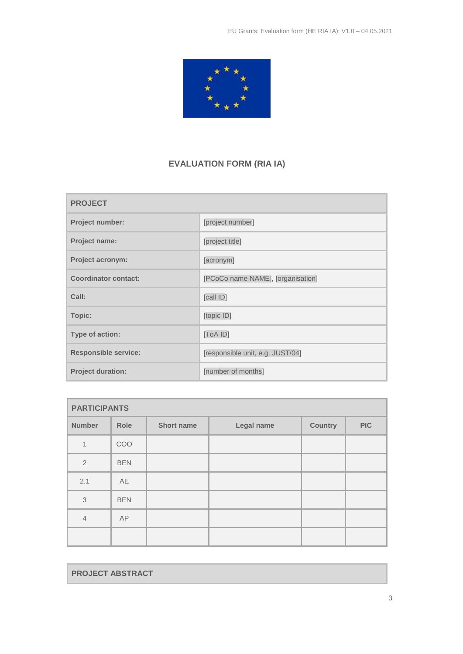

# **EVALUATION FORM (RIA IA)**

| <b>PROJECT</b>              |                                   |  |  |
|-----------------------------|-----------------------------------|--|--|
| Project number:             | [project number]                  |  |  |
| <b>Project name:</b>        | [project title]                   |  |  |
| <b>Project acronym:</b>     | [acronym]                         |  |  |
| <b>Coordinator contact:</b> | [PCoCo name NAME], [organisation] |  |  |
| Call:                       | [call ID]                         |  |  |
| Topic:                      | [topic ID]                        |  |  |
| Type of action:             | [ToA ID]                          |  |  |
| <b>Responsible service:</b> | [responsible unit, e.g. JUST/04]  |  |  |
| <b>Project duration:</b>    | [number of months]                |  |  |

| <b>PARTICIPANTS</b> |            |                   |            |                |            |  |
|---------------------|------------|-------------------|------------|----------------|------------|--|
| <b>Number</b>       | Role       | <b>Short name</b> | Legal name | <b>Country</b> | <b>PIC</b> |  |
| 1                   | COO        |                   |            |                |            |  |
| $\overline{2}$      | <b>BEN</b> |                   |            |                |            |  |
| 2.1                 | AE         |                   |            |                |            |  |
| 3                   | <b>BEN</b> |                   |            |                |            |  |
| $\overline{4}$      | AP         |                   |            |                |            |  |
|                     |            |                   |            |                |            |  |

**PROJECT ABSTRACT**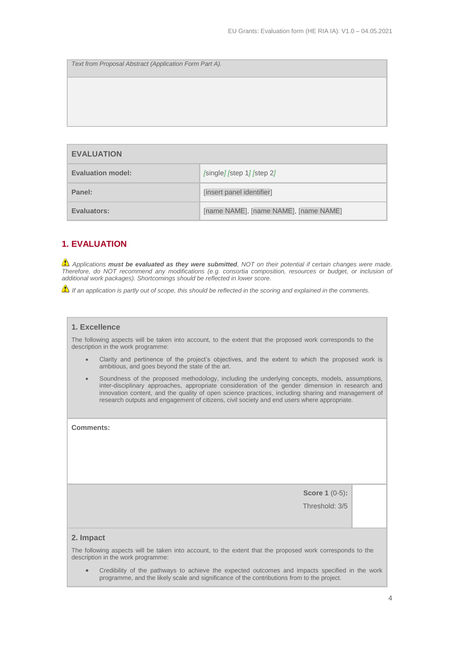*Text from Proposal Abstract (Application Form Part A).*

| <b>EVALUATION</b> |                                       |  |
|-------------------|---------------------------------------|--|
| Evaluation model: | [single] [step 1] [step 2]            |  |
| Panel:            | [insert panel identifier]             |  |
| Evaluators:       | [name NAME], [name NAME], [name NAME] |  |

# **1. EVALUATION**

*Applications must be evaluated as they were submitted, NOT on their potential if certain changes were made. Therefore, do NOT recommend any modifications (e.g. consortia composition, resources or budget, or inclusion of additional work packages). Shortcomings should be reflected in lower score.*

*If an application is partly out of scope, this should be reflected in the scoring and explained in the comments.*

# **1. Excellence**

The following aspects will be taken into account, to the extent that the proposed work corresponds to the description in the work programme:

- Clarity and pertinence of the project's objectives, and the extent to which the proposed work is ambitious, and goes beyond the state of the art.
- Soundness of the proposed methodology, including the underlying concepts, models, assumptions, inter-disciplinary approaches, appropriate consideration of the gender dimension in research and innovation content, and the quality of open science practices, including sharing and management of research outputs and engagement of citizens, civil society and end users where appropriate.

**Comments:** 

**Score 1** (0-5)**:**

Threshold: 3/5

#### **2. Impact**

The following aspects will be taken into account, to the extent that the proposed work corresponds to the description in the work programme:

 Credibility of the pathways to achieve the expected outcomes and impacts specified in the work programme, and the likely scale and significance of the contributions from to the project.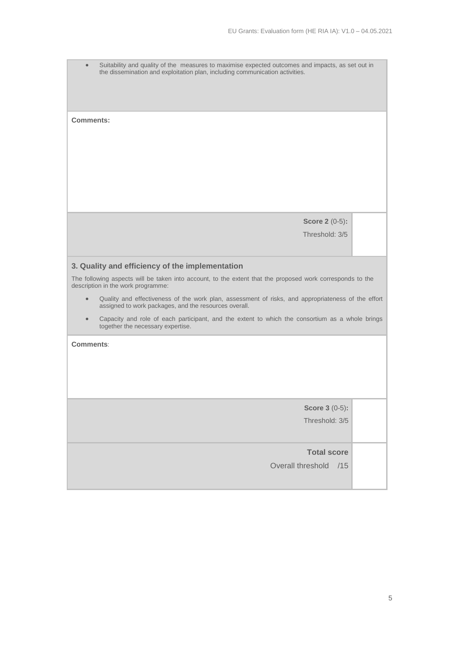Suitability and quality of the measures to maximise expected outcomes and impacts, as set out in the dissemination and exploitation plan, including communication activities.

**Comments:** 

**Score 2** (0-5)**:**

Threshold: 3/5

# **3. Quality and efficiency of the implementation**

The following aspects will be taken into account, to the extent that the proposed work corresponds to the description in the work programme:

- Quality and effectiveness of the work plan, assessment of risks, and appropriateness of the effort assigned to work packages, and the resources overall.
- Capacity and role of each participant, and the extent to which the consortium as a whole brings together the necessary expertise.

**Comments**:

**Score 3** (0-5)**:**

Threshold: 3/5

# **Total score**

Overall threshold /15